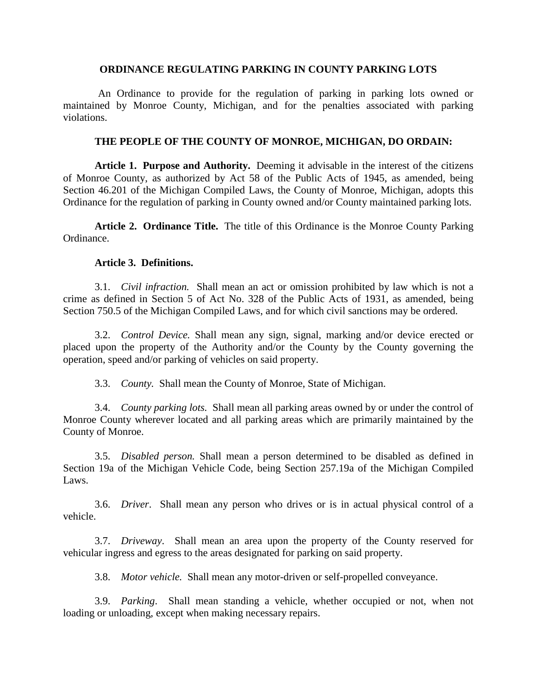#### **ORDINANCE REGULATING PARKING IN COUNTY PARKING LOTS**

 An Ordinance to provide for the regulation of parking in parking lots owned or maintained by Monroe County, Michigan, and for the penalties associated with parking violations.

## **THE PEOPLE OF THE COUNTY OF MONROE, MICHIGAN, DO ORDAIN:**

**Article 1. Purpose and Authority.** Deeming it advisable in the interest of the citizens of Monroe County, as authorized by Act 58 of the Public Acts of 1945, as amended, being Section 46.201 of the Michigan Compiled Laws, the County of Monroe, Michigan, adopts this Ordinance for the regulation of parking in County owned and/or County maintained parking lots.

**Article 2. Ordinance Title.** The title of this Ordinance is the Monroe County Parking Ordinance.

#### **Article 3. Definitions.**

3.1. *Civil infraction.* Shall mean an act or omission prohibited by law which is not a crime as defined in Section 5 of Act No. 328 of the Public Acts of 1931, as amended, being Section 750.5 of the Michigan Compiled Laws, and for which civil sanctions may be ordered.

3.2. *Control Device.* Shall mean any sign, signal, marking and/or device erected or placed upon the property of the Authority and/or the County by the County governing the operation, speed and/or parking of vehicles on said property.

3.3. *County.* Shall mean the County of Monroe, State of Michigan.

3.4. *County parking lots.* Shall mean all parking areas owned by or under the control of Monroe County wherever located and all parking areas which are primarily maintained by the County of Monroe.

3.5. *Disabled person.* Shall mean a person determined to be disabled as defined in Section 19a of the Michigan Vehicle Code, being Section 257.19a of the Michigan Compiled Laws.

3.6. *Driver*. Shall mean any person who drives or is in actual physical control of a vehicle.

3.7. *Driveway*. Shall mean an area upon the property of the County reserved for vehicular ingress and egress to the areas designated for parking on said property.

3.8. *Motor vehicle.* Shall mean any motor-driven or self-propelled conveyance.

3.9. *Parking*. Shall mean standing a vehicle, whether occupied or not, when not loading or unloading, except when making necessary repairs.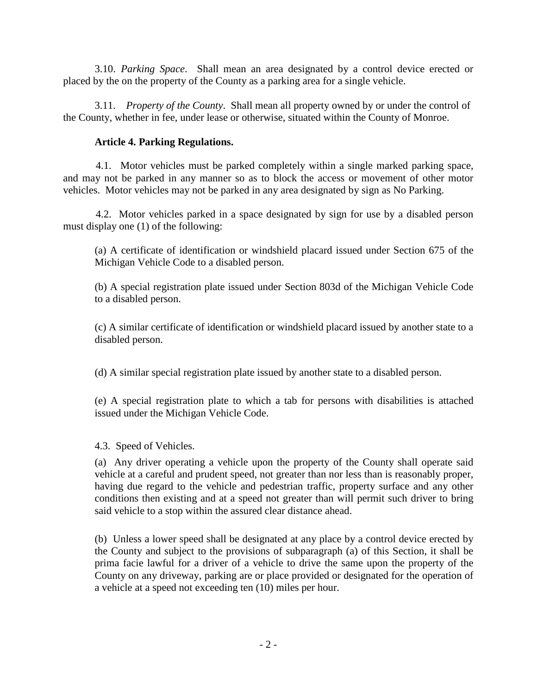3.10. *Parking Space*. Shall mean an area designated by a control device erected or placed by the on the property of the County as a parking area for a single vehicle.

3.11. *Property of the County*. Shall mean all property owned by or under the control of the County, whether in fee, under lease or otherwise, situated within the County of Monroe.

## **Article 4. Parking Regulations.**

 4.1. Motor vehicles must be parked completely within a single marked parking space, and may not be parked in any manner so as to block the access or movement of other motor vehicles. Motor vehicles may not be parked in any area designated by sign as No Parking.

 4.2. Motor vehicles parked in a space designated by sign for use by a disabled person must display one (1) of the following:

(a) A certificate of identification or windshield placard issued under Section 675 of the Michigan Vehicle Code to a disabled person.

(b) A special registration plate issued under Section 803d of the Michigan Vehicle Code to a disabled person.

(c) A similar certificate of identification or windshield placard issued by another state to a disabled person.

(d) A similar special registration plate issued by another state to a disabled person.

(e) A special registration plate to which a tab for persons with disabilities is attached issued under the Michigan Vehicle Code.

4.3. Speed of Vehicles.

(a) Any driver operating a vehicle upon the property of the County shall operate said vehicle at a careful and prudent speed, not greater than nor less than is reasonably proper, having due regard to the vehicle and pedestrian traffic, property surface and any other conditions then existing and at a speed not greater than will permit such driver to bring said vehicle to a stop within the assured clear distance ahead.

(b) Unless a lower speed shall be designated at any place by a control device erected by the County and subject to the provisions of subparagraph (a) of this Section, it shall be prima facie lawful for a driver of a vehicle to drive the same upon the property of the County on any driveway, parking are or place provided or designated for the operation of a vehicle at a speed not exceeding ten (10) miles per hour.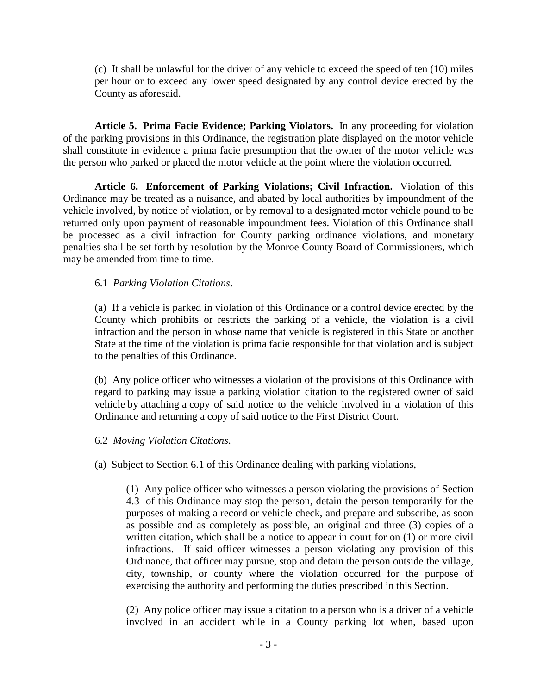(c) It shall be unlawful for the driver of any vehicle to exceed the speed of ten (10) miles per hour or to exceed any lower speed designated by any control device erected by the County as aforesaid.

**Article 5. Prima Facie Evidence; Parking Violators.** In any proceeding for violation of the parking provisions in this Ordinance, the registration plate displayed on the motor vehicle shall constitute in evidence a prima facie presumption that the owner of the motor vehicle was the person who parked or placed the motor vehicle at the point where the violation occurred.

**Article 6. Enforcement of Parking Violations; Civil Infraction.** Violation of this Ordinance may be treated as a nuisance, and abated by local authorities by impoundment of the vehicle involved, by notice of violation, or by removal to a designated motor vehicle pound to be returned only upon payment of reasonable impoundment fees. Violation of this Ordinance shall be processed as a civil infraction for County parking ordinance violations, and monetary penalties shall be set forth by resolution by the Monroe County Board of Commissioners, which may be amended from time to time.

## 6.1 *Parking Violation Citations*.

(a) If a vehicle is parked in violation of this Ordinance or a control device erected by the County which prohibits or restricts the parking of a vehicle, the violation is a civil infraction and the person in whose name that vehicle is registered in this State or another State at the time of the violation is prima facie responsible for that violation and is subject to the penalties of this Ordinance.

(b) Any police officer who witnesses a violation of the provisions of this Ordinance with regard to parking may issue a parking violation citation to the registered owner of said vehicle by attaching a copy of said notice to the vehicle involved in a violation of this Ordinance and returning a copy of said notice to the First District Court.

## 6.2 *Moving Violation Citations*.

(a) Subject to Section 6.1 of this Ordinance dealing with parking violations,

(1) Any police officer who witnesses a person violating the provisions of Section 4.3 of this Ordinance may stop the person, detain the person temporarily for the purposes of making a record or vehicle check, and prepare and subscribe, as soon as possible and as completely as possible, an original and three (3) copies of a written citation, which shall be a notice to appear in court for on (1) or more civil infractions. If said officer witnesses a person violating any provision of this Ordinance, that officer may pursue, stop and detain the person outside the village, city, township, or county where the violation occurred for the purpose of exercising the authority and performing the duties prescribed in this Section.

(2) Any police officer may issue a citation to a person who is a driver of a vehicle involved in an accident while in a County parking lot when, based upon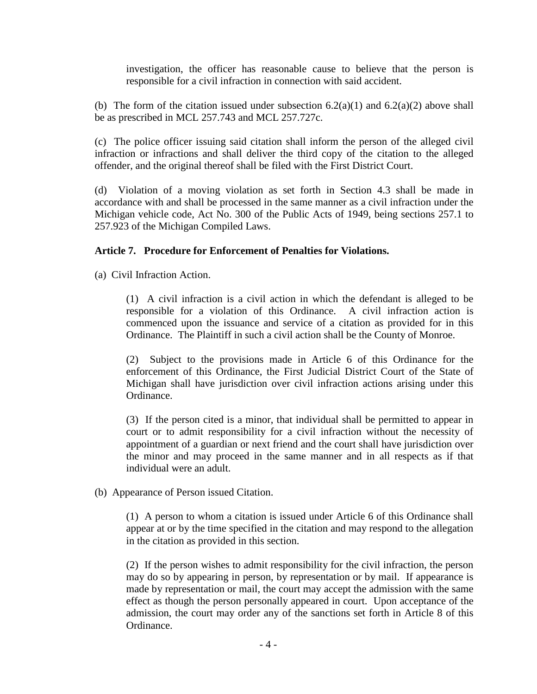investigation, the officer has reasonable cause to believe that the person is responsible for a civil infraction in connection with said accident.

(b) The form of the citation issued under subsection  $6.2(a)(1)$  and  $6.2(a)(2)$  above shall be as prescribed in MCL 257.743 and MCL 257.727c.

(c) The police officer issuing said citation shall inform the person of the alleged civil infraction or infractions and shall deliver the third copy of the citation to the alleged offender, and the original thereof shall be filed with the First District Court.

(d) Violation of a moving violation as set forth in Section 4.3 shall be made in accordance with and shall be processed in the same manner as a civil infraction under the Michigan vehicle code, Act No. 300 of the Public Acts of 1949, being [sections 257.1](https://www.lexis.com/research/buttonTFLink?_m=59e86cc5d81803e14506536e5ff0eb45&_xfercite=%3ccite%20cc%3d%22USA%22%3e%3c%21%5bCDATA%5bMCLS%20%a7%2046.201%5d%5d%3e%3c%2fcite%3e&_butType=4&_butStat=0&_butNum=2&_butInline=1&_butinfo=MICODE%20257.1&_fmtstr=FULL&docnum=1&_startdoc=1&wchp=dGLzVlb-zSkAl&_md5=609270a6deebbc2d507e9302b6c20cdd) to [257.923 of the Michigan Compiled Laws.](https://www.lexis.com/research/buttonTFLink?_m=59e86cc5d81803e14506536e5ff0eb45&_xfercite=%3ccite%20cc%3d%22USA%22%3e%3c%21%5bCDATA%5bMCLS%20%a7%2046.201%5d%5d%3e%3c%2fcite%3e&_butType=4&_butStat=0&_butNum=3&_butInline=1&_butinfo=MICODE%20257.923&_fmtstr=FULL&docnum=1&_startdoc=1&wchp=dGLzVlb-zSkAl&_md5=439bb48f1c9d8380e061b18cd95cbb3a)

# **Article 7. Procedure for Enforcement of Penalties for Violations.**

(a) Civil Infraction Action.

(1) A civil infraction is a civil action in which the defendant is alleged to be responsible for a violation of this Ordinance. A civil infraction action is commenced upon the issuance and service of a citation as provided for in this Ordinance. The Plaintiff in such a civil action shall be the County of Monroe.

(2) Subject to the provisions made in Article 6 of this Ordinance for the enforcement of this Ordinance, the First Judicial District Court of the State of Michigan shall have jurisdiction over civil infraction actions arising under this Ordinance.

(3) If the person cited is a minor, that individual shall be permitted to appear in court or to admit responsibility for a civil infraction without the necessity of appointment of a guardian or next friend and the court shall have jurisdiction over the minor and may proceed in the same manner and in all respects as if that individual were an adult.

(b) Appearance of Person issued Citation.

(1) A person to whom a citation is issued under Article 6 of this Ordinance shall appear at or by the time specified in the citation and may respond to the allegation in the citation as provided in this section.

(2) If the person wishes to admit responsibility for the civil infraction, the person may do so by appearing in person, by representation or by mail. If appearance is made by representation or mail, the court may accept the admission with the same effect as though the person personally appeared in court. Upon acceptance of the admission, the court may order any of the sanctions set forth in Article 8 of this Ordinance.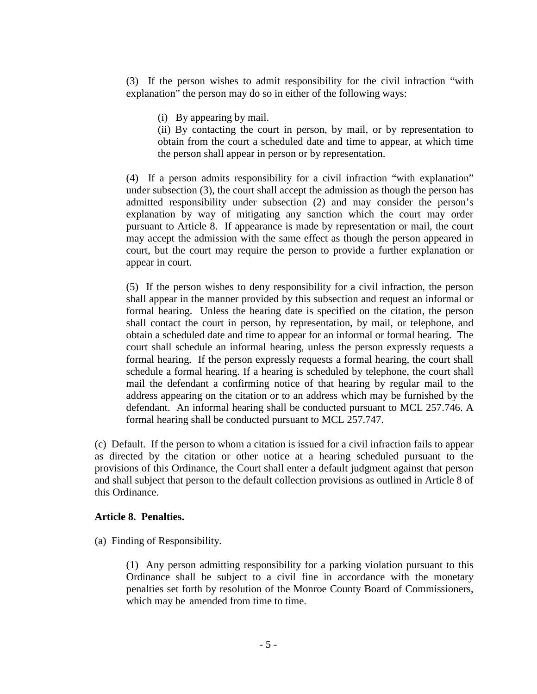(3) If the person wishes to admit responsibility for the civil infraction "with explanation" the person may do so in either of the following ways:

(i) By appearing by mail.

(ii) By contacting the court in person, by mail, or by representation to obtain from the court a scheduled date and time to appear, at which time the person shall appear in person or by representation.

(4) If a person admits responsibility for a civil infraction "with explanation" under subsection (3), the court shall accept the admission as though the person has admitted responsibility under subsection (2) and may consider the person's explanation by way of mitigating any sanction which the court may order pursuant to Article 8. If appearance is made by representation or mail, the court may accept the admission with the same effect as though the person appeared in court, but the court may require the person to provide a further explanation or appear in court.

(5) If the person wishes to deny responsibility for a civil infraction, the person shall appear in the manner provided by this subsection and request an informal or formal hearing. Unless the hearing date is specified on the citation, the person shall contact the court in person, by representation, by mail, or telephone, and obtain a scheduled date and time to appear for an informal or formal hearing. The court shall schedule an informal hearing, unless the person expressly requests a formal hearing. If the person expressly requests a formal hearing, the court shall schedule a formal hearing. If a hearing is scheduled by telephone, the court shall mail the defendant a confirming notice of that hearing by regular mail to the address appearing on the citation or to an address which may be furnished by the defendant. An informal hearing shall be conducted pursuant to MCL 257.746. A formal hearing shall be conducted pursuant to MCL 257.747.

(c) Default. If the person to whom a citation is issued for a civil infraction fails to appear as directed by the citation or other notice at a hearing scheduled pursuant to the provisions of this Ordinance, the Court shall enter a default judgment against that person and shall subject that person to the default collection provisions as outlined in Article 8 of this Ordinance.

## **Article 8. Penalties.**

(a) Finding of Responsibility.

(1) Any person admitting responsibility for a parking violation pursuant to this Ordinance shall be subject to a civil fine in accordance with the monetary penalties set forth by resolution of the Monroe County Board of Commissioners, which may be amended from time to time.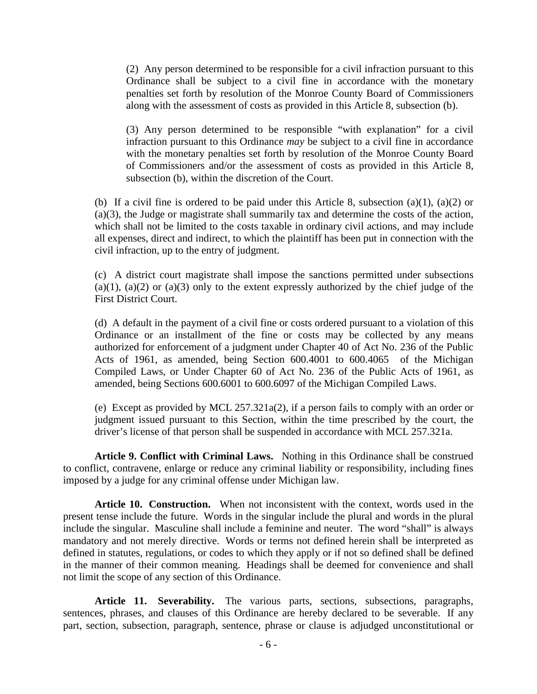(2) Any person determined to be responsible for a civil infraction pursuant to this Ordinance shall be subject to a civil fine in accordance with the monetary penalties set forth by resolution of the Monroe County Board of Commissioners along with the assessment of costs as provided in this Article 8, subsection (b).

(3) Any person determined to be responsible "with explanation" for a civil infraction pursuant to this Ordinance *may* be subject to a civil fine in accordance with the monetary penalties set forth by resolution of the Monroe County Board of Commissioners and/or the assessment of costs as provided in this Article 8, subsection (b), within the discretion of the Court.

(b) If a civil fine is ordered to be paid under this Article 8, subsection  $(a)(1)$ ,  $(a)(2)$  or (a)(3), the Judge or magistrate shall summarily tax and determine the costs of the action, which shall not be limited to the costs taxable in ordinary civil actions, and may include all expenses, direct and indirect, to which the plaintiff has been put in connection with the civil infraction, up to the entry of judgment.

(c) A district court magistrate shall impose the sanctions permitted under subsections (a)(1), (a)(2) or (a)(3) only to the extent expressly authorized by the chief judge of the First District Court.

(d) A default in the payment of a civil fine or costs ordered pursuant to a violation of this Ordinance or an installment of the fine or costs may be collected by any means authorized for enforcement of a judgment under Chapter 40 of Act No. 236 of the Public Acts of 1961, as amended, being Section 600.4001 to 600.4065 of the Michigan Compiled Laws, or Under Chapter 60 of Act No. 236 of the Public Acts of 1961, as amended, being Sections 600.6001 to 600.6097 of the Michigan Compiled Laws.

(e) Except as provided by MCL 257.321a(2), if a person fails to comply with an order or judgment issued pursuant to this Section, within the time prescribed by the court, the driver's license of that person shall be suspended in accordance with MCL 257.321a.

**Article 9. Conflict with Criminal Laws.** Nothing in this Ordinance shall be construed to conflict, contravene, enlarge or reduce any criminal liability or responsibility, including fines imposed by a judge for any criminal offense under Michigan law.

**Article 10. Construction.** When not inconsistent with the context, words used in the present tense include the future. Words in the singular include the plural and words in the plural include the singular. Masculine shall include a feminine and neuter. The word "shall" is always mandatory and not merely directive. Words or terms not defined herein shall be interpreted as defined in statutes, regulations, or codes to which they apply or if not so defined shall be defined in the manner of their common meaning. Headings shall be deemed for convenience and shall not limit the scope of any section of this Ordinance.

**Article 11. Severability.** The various parts, sections, subsections, paragraphs, sentences, phrases, and clauses of this Ordinance are hereby declared to be severable. If any part, section, subsection, paragraph, sentence, phrase or clause is adjudged unconstitutional or